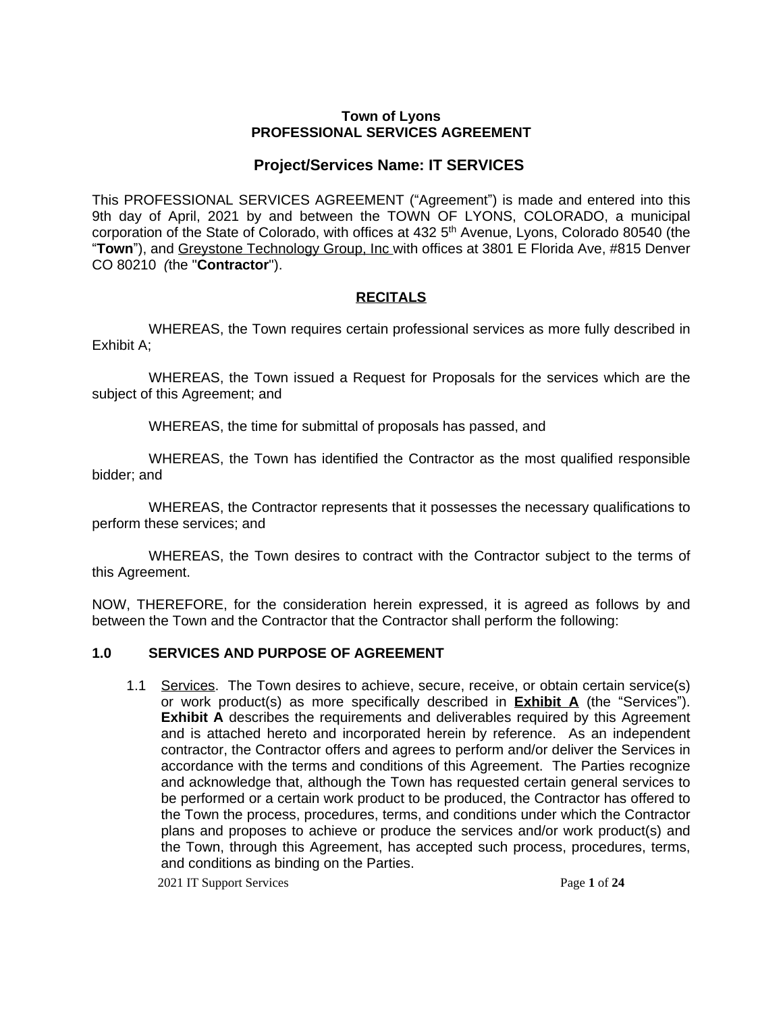#### **Town of Lyons PROFESSIONAL SERVICES AGREEMENT**

# **Project/Services Name: IT SERVICES**

This PROFESSIONAL SERVICES AGREEMENT ("Agreement") is made and entered into this 9th day of April, 2021 by and between the TOWN OF LYONS, COLORADO, a municipal corporation of the State of Colorado, with offices at 432 5<sup>th</sup> Avenue, Lyons, Colorado 80540 (the "**Town**"), and Greystone Technology Group, Inc with offices at 3801 E Florida Ave, #815 Denver CO 80210 *(*the "**Contractor**").

# **RECITALS**

WHEREAS, the Town requires certain professional services as more fully described in Exhibit A;

WHEREAS, the Town issued a Request for Proposals for the services which are the subject of this Agreement; and

WHEREAS, the time for submittal of proposals has passed, and

WHEREAS, the Town has identified the Contractor as the most qualified responsible bidder; and

WHEREAS, the Contractor represents that it possesses the necessary qualifications to perform these services; and

WHEREAS, the Town desires to contract with the Contractor subject to the terms of this Agreement.

NOW, THEREFORE, for the consideration herein expressed, it is agreed as follows by and between the Town and the Contractor that the Contractor shall perform the following:

# **1.0 SERVICES AND PURPOSE OF AGREEMENT**

1.1 Services. The Town desires to achieve, secure, receive, or obtain certain service(s) or work product(s) as more specifically described in **Exhibit A** (the "Services"). **Exhibit A** describes the requirements and deliverables required by this Agreement and is attached hereto and incorporated herein by reference. As an independent contractor, the Contractor offers and agrees to perform and/or deliver the Services in accordance with the terms and conditions of this Agreement. The Parties recognize and acknowledge that, although the Town has requested certain general services to be performed or a certain work product to be produced, the Contractor has offered to the Town the process, procedures, terms, and conditions under which the Contractor plans and proposes to achieve or produce the services and/or work product(s) and the Town, through this Agreement, has accepted such process, procedures, terms, and conditions as binding on the Parties.

2021 IT Support Services Page **1** of **24**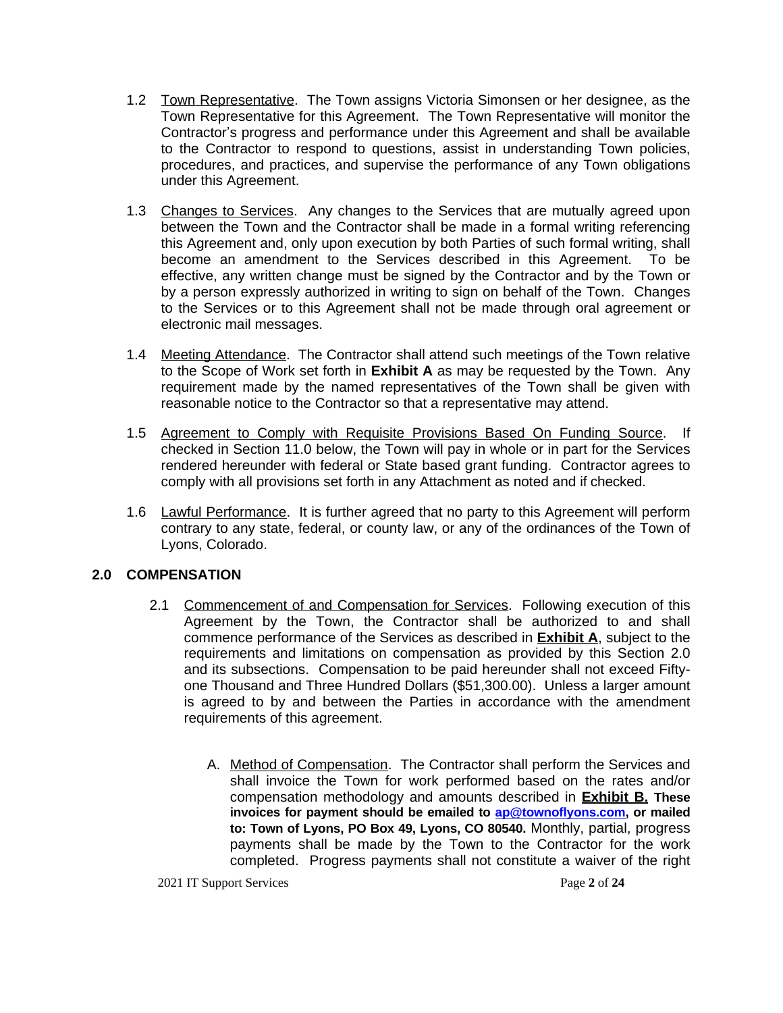- 1.2 Town Representative. The Town assigns Victoria Simonsen or her designee, as the Town Representative for this Agreement. The Town Representative will monitor the Contractor's progress and performance under this Agreement and shall be available to the Contractor to respond to questions, assist in understanding Town policies, procedures, and practices, and supervise the performance of any Town obligations under this Agreement.
- 1.3 Changes to Services. Any changes to the Services that are mutually agreed upon between the Town and the Contractor shall be made in a formal writing referencing this Agreement and, only upon execution by both Parties of such formal writing, shall become an amendment to the Services described in this Agreement. To be effective, any written change must be signed by the Contractor and by the Town or by a person expressly authorized in writing to sign on behalf of the Town. Changes to the Services or to this Agreement shall not be made through oral agreement or electronic mail messages.
- 1.4 Meeting Attendance. The Contractor shall attend such meetings of the Town relative to the Scope of Work set forth in **Exhibit A** as may be requested by the Town. Any requirement made by the named representatives of the Town shall be given with reasonable notice to the Contractor so that a representative may attend.
- 1.5 Agreement to Comply with Requisite Provisions Based On Funding Source. If checked in Section 11.0 below, the Town will pay in whole or in part for the Services rendered hereunder with federal or State based grant funding. Contractor agrees to comply with all provisions set forth in any Attachment as noted and if checked.
- 1.6 Lawful Performance. It is further agreed that no party to this Agreement will perform contrary to any state, federal, or county law, or any of the ordinances of the Town of Lyons, Colorado.

# **2.0 COMPENSATION**

- 2.1 Commencement of and Compensation for Services. Following execution of this Agreement by the Town, the Contractor shall be authorized to and shall commence performance of the Services as described in **Exhibit A**, subject to the requirements and limitations on compensation as provided by this Section 2.0 and its subsections. Compensation to be paid hereunder shall not exceed Fiftyone Thousand and Three Hundred Dollars (\$51,300.00). Unless a larger amount is agreed to by and between the Parties in accordance with the amendment requirements of this agreement.
	- A. Method of Compensation. The Contractor shall perform the Services and shall invoice the Town for work performed based on the rates and/or compensation methodology and amounts described in **Exhibit B. These invoices for payment should be emailed to [ap@townoflyons.com](mailto:ap@townoflyons.com), or mailed to: Town of Lyons, PO Box 49, Lyons, CO 80540.** Monthly, partial, progress payments shall be made by the Town to the Contractor for the work completed. Progress payments shall not constitute a waiver of the right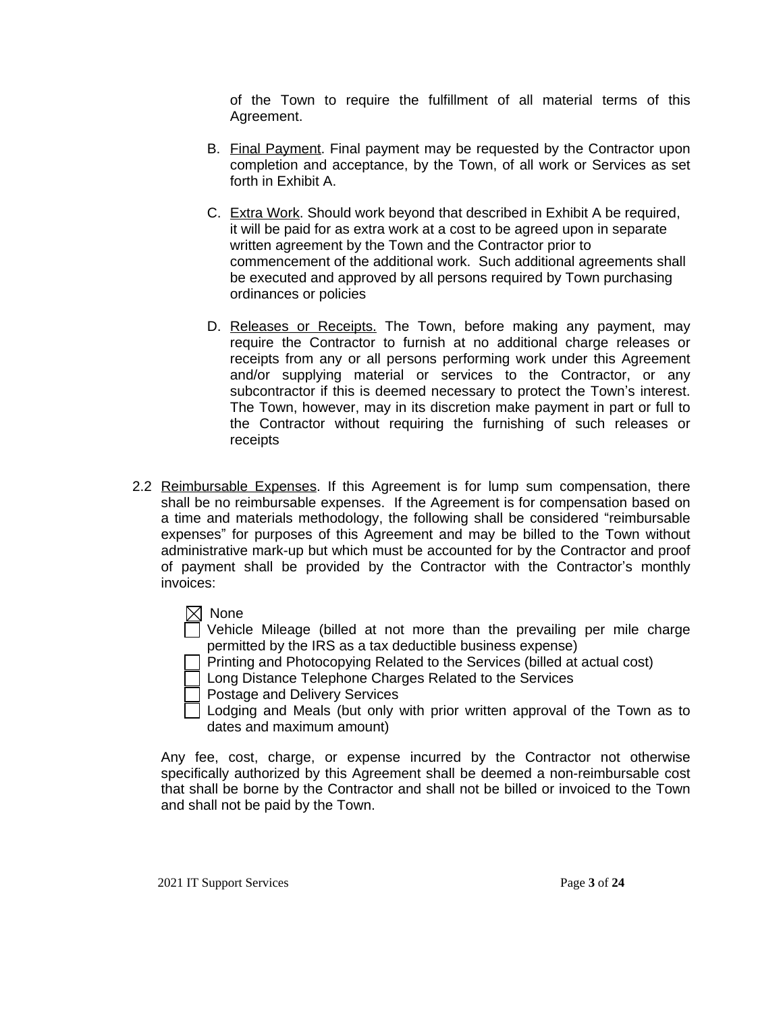of the Town to require the fulfillment of all material terms of this Agreement.

- B. Final Payment. Final payment may be requested by the Contractor upon completion and acceptance, by the Town, of all work or Services as set forth in Exhibit A.
- C. Extra Work. Should work beyond that described in Exhibit A be required, it will be paid for as extra work at a cost to be agreed upon in separate written agreement by the Town and the Contractor prior to commencement of the additional work. Such additional agreements shall be executed and approved by all persons required by Town purchasing ordinances or policies
- D. Releases or Receipts. The Town, before making any payment, may require the Contractor to furnish at no additional charge releases or receipts from any or all persons performing work under this Agreement and/or supplying material or services to the Contractor, or any subcontractor if this is deemed necessary to protect the Town's interest. The Town, however, may in its discretion make payment in part or full to the Contractor without requiring the furnishing of such releases or receipts
- 2.2 Reimbursable Expenses. If this Agreement is for lump sum compensation, there shall be no reimbursable expenses. If the Agreement is for compensation based on a time and materials methodology, the following shall be considered "reimbursable expenses" for purposes of this Agreement and may be billed to the Town without administrative mark-up but which must be accounted for by the Contractor and proof of payment shall be provided by the Contractor with the Contractor's monthly invoices:
	- None

Vehicle Mileage (billed at not more than the prevailing per mile charge permitted by the IRS as a tax deductible business expense)

Printing and Photocopying Related to the Services (billed at actual cost)

**Long Distance Telephone Charges Related to the Services** 

Postage and Delivery Services

Lodging and Meals (but only with prior written approval of the Town as to dates and maximum amount)

Any fee, cost, charge, or expense incurred by the Contractor not otherwise specifically authorized by this Agreement shall be deemed a non-reimbursable cost that shall be borne by the Contractor and shall not be billed or invoiced to the Town and shall not be paid by the Town.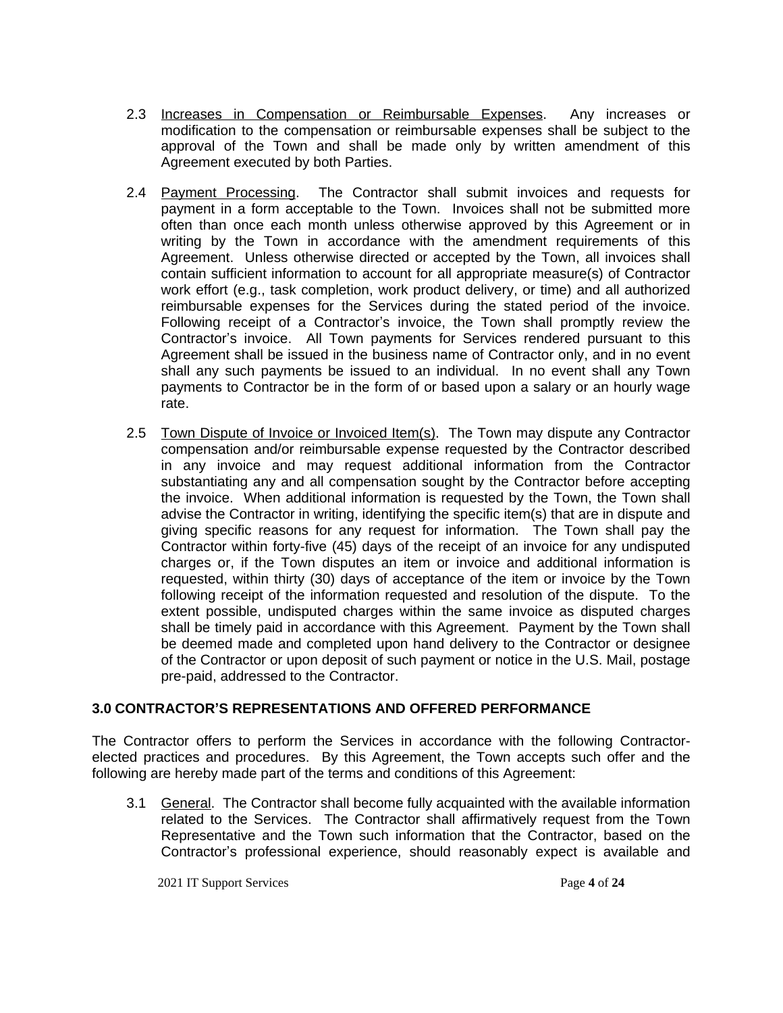- 2.3 Increases in Compensation or Reimbursable Expenses. Any increases or modification to the compensation or reimbursable expenses shall be subject to the approval of the Town and shall be made only by written amendment of this Agreement executed by both Parties.
- 2.4 Payment Processing. The Contractor shall submit invoices and requests for payment in a form acceptable to the Town. Invoices shall not be submitted more often than once each month unless otherwise approved by this Agreement or in writing by the Town in accordance with the amendment requirements of this Agreement. Unless otherwise directed or accepted by the Town, all invoices shall contain sufficient information to account for all appropriate measure(s) of Contractor work effort (e.g., task completion, work product delivery, or time) and all authorized reimbursable expenses for the Services during the stated period of the invoice. Following receipt of a Contractor's invoice, the Town shall promptly review the Contractor's invoice. All Town payments for Services rendered pursuant to this Agreement shall be issued in the business name of Contractor only, and in no event shall any such payments be issued to an individual. In no event shall any Town payments to Contractor be in the form of or based upon a salary or an hourly wage rate.
- 2.5 Town Dispute of Invoice or Invoiced Item(s). The Town may dispute any Contractor compensation and/or reimbursable expense requested by the Contractor described in any invoice and may request additional information from the Contractor substantiating any and all compensation sought by the Contractor before accepting the invoice. When additional information is requested by the Town, the Town shall advise the Contractor in writing, identifying the specific item(s) that are in dispute and giving specific reasons for any request for information. The Town shall pay the Contractor within forty-five (45) days of the receipt of an invoice for any undisputed charges or, if the Town disputes an item or invoice and additional information is requested, within thirty (30) days of acceptance of the item or invoice by the Town following receipt of the information requested and resolution of the dispute. To the extent possible, undisputed charges within the same invoice as disputed charges shall be timely paid in accordance with this Agreement. Payment by the Town shall be deemed made and completed upon hand delivery to the Contractor or designee of the Contractor or upon deposit of such payment or notice in the U.S. Mail, postage pre-paid, addressed to the Contractor.

# **3.0 CONTRACTOR'S REPRESENTATIONS AND OFFERED PERFORMANCE**

The Contractor offers to perform the Services in accordance with the following Contractorelected practices and procedures. By this Agreement, the Town accepts such offer and the following are hereby made part of the terms and conditions of this Agreement:

3.1 General. The Contractor shall become fully acquainted with the available information related to the Services. The Contractor shall affirmatively request from the Town Representative and the Town such information that the Contractor, based on the Contractor's professional experience, should reasonably expect is available and

2021 IT Support Services Page **4** of **24**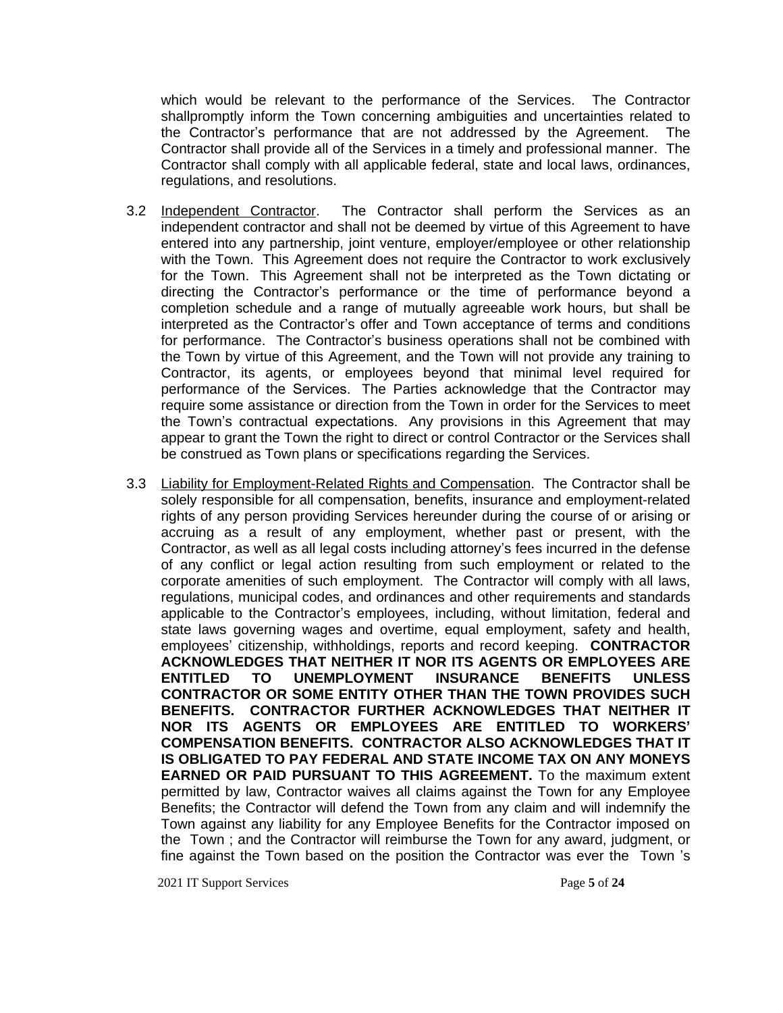which would be relevant to the performance of the Services. The Contractor shallpromptly inform the Town concerning ambiguities and uncertainties related to the Contractor's performance that are not addressed by the Agreement. The Contractor shall provide all of the Services in a timely and professional manner. The Contractor shall comply with all applicable federal, state and local laws, ordinances, regulations, and resolutions.

- 3.2 Independent Contractor. The Contractor shall perform the Services as an independent contractor and shall not be deemed by virtue of this Agreement to have entered into any partnership, joint venture, employer/employee or other relationship with the Town. This Agreement does not require the Contractor to work exclusively for the Town. This Agreement shall not be interpreted as the Town dictating or directing the Contractor's performance or the time of performance beyond a completion schedule and a range of mutually agreeable work hours, but shall be interpreted as the Contractor's offer and Town acceptance of terms and conditions for performance. The Contractor's business operations shall not be combined with the Town by virtue of this Agreement, and the Town will not provide any training to Contractor, its agents, or employees beyond that minimal level required for performance of the Services. The Parties acknowledge that the Contractor may require some assistance or direction from the Town in order for the Services to meet the Town's contractual expectations. Any provisions in this Agreement that may appear to grant the Town the right to direct or control Contractor or the Services shall be construed as Town plans or specifications regarding the Services.
- 3.3 Liability for Employment-Related Rights and Compensation. The Contractor shall be solely responsible for all compensation, benefits, insurance and employment-related rights of any person providing Services hereunder during the course of or arising or accruing as a result of any employment, whether past or present, with the Contractor, as well as all legal costs including attorney's fees incurred in the defense of any conflict or legal action resulting from such employment or related to the corporate amenities of such employment. The Contractor will comply with all laws, regulations, municipal codes, and ordinances and other requirements and standards applicable to the Contractor's employees, including, without limitation, federal and state laws governing wages and overtime, equal employment, safety and health, employees' citizenship, withholdings, reports and record keeping. **CONTRACTOR ACKNOWLEDGES THAT NEITHER IT NOR ITS AGENTS OR EMPLOYEES ARE ENTITLED TO UNEMPLOYMENT INSURANCE BENEFITS UNLESS CONTRACTOR OR SOME ENTITY OTHER THAN THE TOWN PROVIDES SUCH BENEFITS. CONTRACTOR FURTHER ACKNOWLEDGES THAT NEITHER IT NOR ITS AGENTS OR EMPLOYEES ARE ENTITLED TO WORKERS' COMPENSATION BENEFITS. CONTRACTOR ALSO ACKNOWLEDGES THAT IT IS OBLIGATED TO PAY FEDERAL AND STATE INCOME TAX ON ANY MONEYS EARNED OR PAID PURSUANT TO THIS AGREEMENT.** To the maximum extent permitted by law, Contractor waives all claims against the Town for any Employee Benefits; the Contractor will defend the Town from any claim and will indemnify the Town against any liability for any Employee Benefits for the Contractor imposed on the Town ; and the Contractor will reimburse the Town for any award, judgment, or fine against the Town based on the position the Contractor was ever the Town 's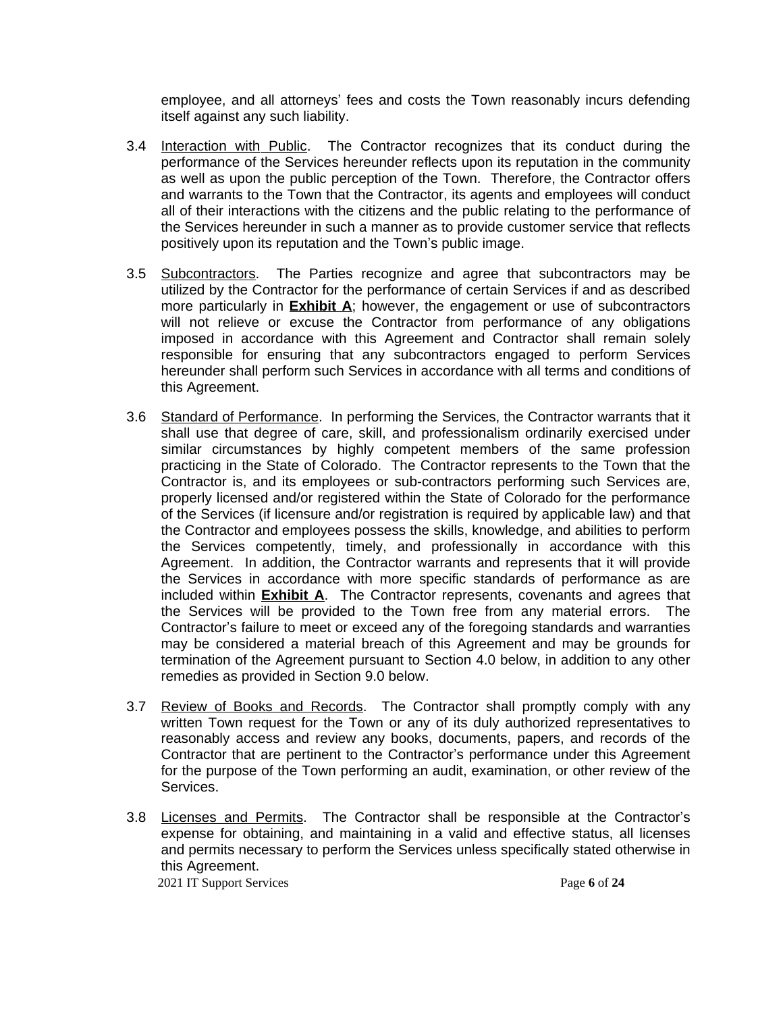employee, and all attorneys' fees and costs the Town reasonably incurs defending itself against any such liability.

- 3.4 Interaction with Public. The Contractor recognizes that its conduct during the performance of the Services hereunder reflects upon its reputation in the community as well as upon the public perception of the Town. Therefore, the Contractor offers and warrants to the Town that the Contractor, its agents and employees will conduct all of their interactions with the citizens and the public relating to the performance of the Services hereunder in such a manner as to provide customer service that reflects positively upon its reputation and the Town's public image.
- 3.5 Subcontractors. The Parties recognize and agree that subcontractors may be utilized by the Contractor for the performance of certain Services if and as described more particularly in **Exhibit A**; however, the engagement or use of subcontractors will not relieve or excuse the Contractor from performance of any obligations imposed in accordance with this Agreement and Contractor shall remain solely responsible for ensuring that any subcontractors engaged to perform Services hereunder shall perform such Services in accordance with all terms and conditions of this Agreement.
- 3.6 Standard of Performance. In performing the Services, the Contractor warrants that it shall use that degree of care, skill, and professionalism ordinarily exercised under similar circumstances by highly competent members of the same profession practicing in the State of Colorado. The Contractor represents to the Town that the Contractor is, and its employees or sub-contractors performing such Services are, properly licensed and/or registered within the State of Colorado for the performance of the Services (if licensure and/or registration is required by applicable law) and that the Contractor and employees possess the skills, knowledge, and abilities to perform the Services competently, timely, and professionally in accordance with this Agreement. In addition, the Contractor warrants and represents that it will provide the Services in accordance with more specific standards of performance as are included within **Exhibit A**. The Contractor represents, covenants and agrees that the Services will be provided to the Town free from any material errors. The Contractor's failure to meet or exceed any of the foregoing standards and warranties may be considered a material breach of this Agreement and may be grounds for termination of the Agreement pursuant to Section 4.0 below, in addition to any other remedies as provided in Section 9.0 below.
- 3.7 Review of Books and Records. The Contractor shall promptly comply with any written Town request for the Town or any of its duly authorized representatives to reasonably access and review any books, documents, papers, and records of the Contractor that are pertinent to the Contractor's performance under this Agreement for the purpose of the Town performing an audit, examination, or other review of the Services.
- 3.8 Licenses and Permits. The Contractor shall be responsible at the Contractor's expense for obtaining, and maintaining in a valid and effective status, all licenses and permits necessary to perform the Services unless specifically stated otherwise in this Agreement.

2021 IT Support Services Page **6** of **24**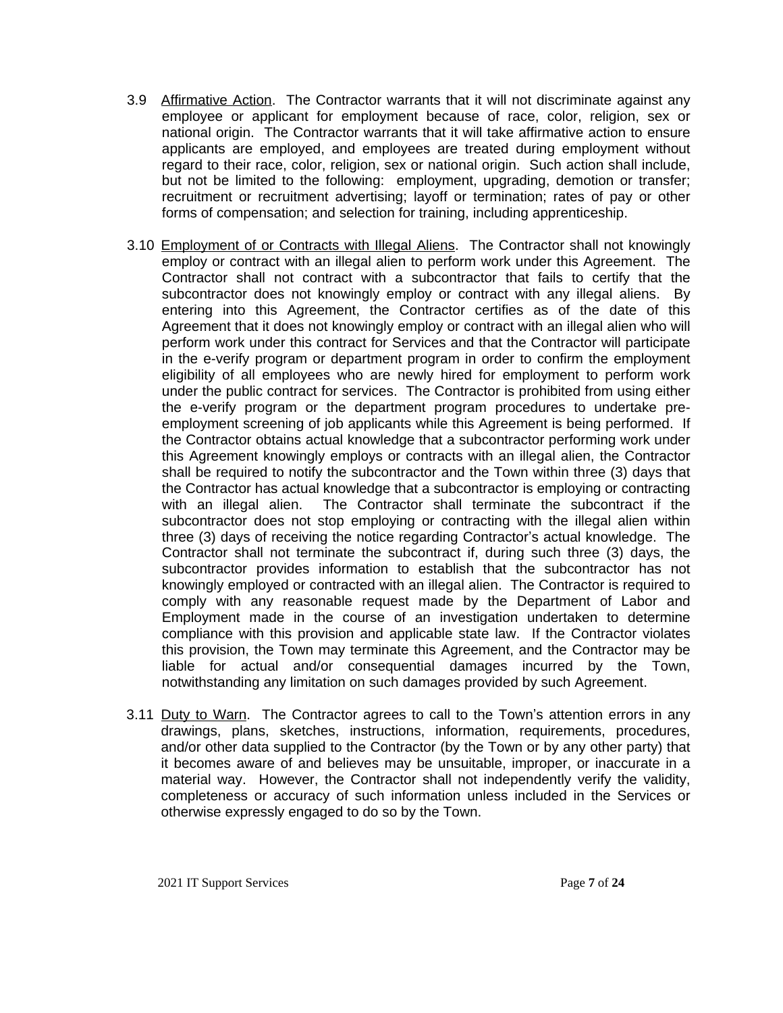- 3.9 Affirmative Action. The Contractor warrants that it will not discriminate against any employee or applicant for employment because of race, color, religion, sex or national origin. The Contractor warrants that it will take affirmative action to ensure applicants are employed, and employees are treated during employment without regard to their race, color, religion, sex or national origin. Such action shall include, but not be limited to the following: employment, upgrading, demotion or transfer; recruitment or recruitment advertising; layoff or termination; rates of pay or other forms of compensation; and selection for training, including apprenticeship.
- 3.10 Employment of or Contracts with Illegal Aliens. The Contractor shall not knowingly employ or contract with an illegal alien to perform work under this Agreement. The Contractor shall not contract with a subcontractor that fails to certify that the subcontractor does not knowingly employ or contract with any illegal aliens. By entering into this Agreement, the Contractor certifies as of the date of this Agreement that it does not knowingly employ or contract with an illegal alien who will perform work under this contract for Services and that the Contractor will participate in the e-verify program or department program in order to confirm the employment eligibility of all employees who are newly hired for employment to perform work under the public contract for services. The Contractor is prohibited from using either the e-verify program or the department program procedures to undertake preemployment screening of job applicants while this Agreement is being performed. If the Contractor obtains actual knowledge that a subcontractor performing work under this Agreement knowingly employs or contracts with an illegal alien, the Contractor shall be required to notify the subcontractor and the Town within three (3) days that the Contractor has actual knowledge that a subcontractor is employing or contracting with an illegal alien. The Contractor shall terminate the subcontract if the subcontractor does not stop employing or contracting with the illegal alien within three (3) days of receiving the notice regarding Contractor's actual knowledge. The Contractor shall not terminate the subcontract if, during such three (3) days, the subcontractor provides information to establish that the subcontractor has not knowingly employed or contracted with an illegal alien. The Contractor is required to comply with any reasonable request made by the Department of Labor and Employment made in the course of an investigation undertaken to determine compliance with this provision and applicable state law. If the Contractor violates this provision, the Town may terminate this Agreement, and the Contractor may be liable for actual and/or consequential damages incurred by the Town, notwithstanding any limitation on such damages provided by such Agreement.
- 3.11 Duty to Warn. The Contractor agrees to call to the Town's attention errors in any drawings, plans, sketches, instructions, information, requirements, procedures, and/or other data supplied to the Contractor (by the Town or by any other party) that it becomes aware of and believes may be unsuitable, improper, or inaccurate in a material way. However, the Contractor shall not independently verify the validity, completeness or accuracy of such information unless included in the Services or otherwise expressly engaged to do so by the Town.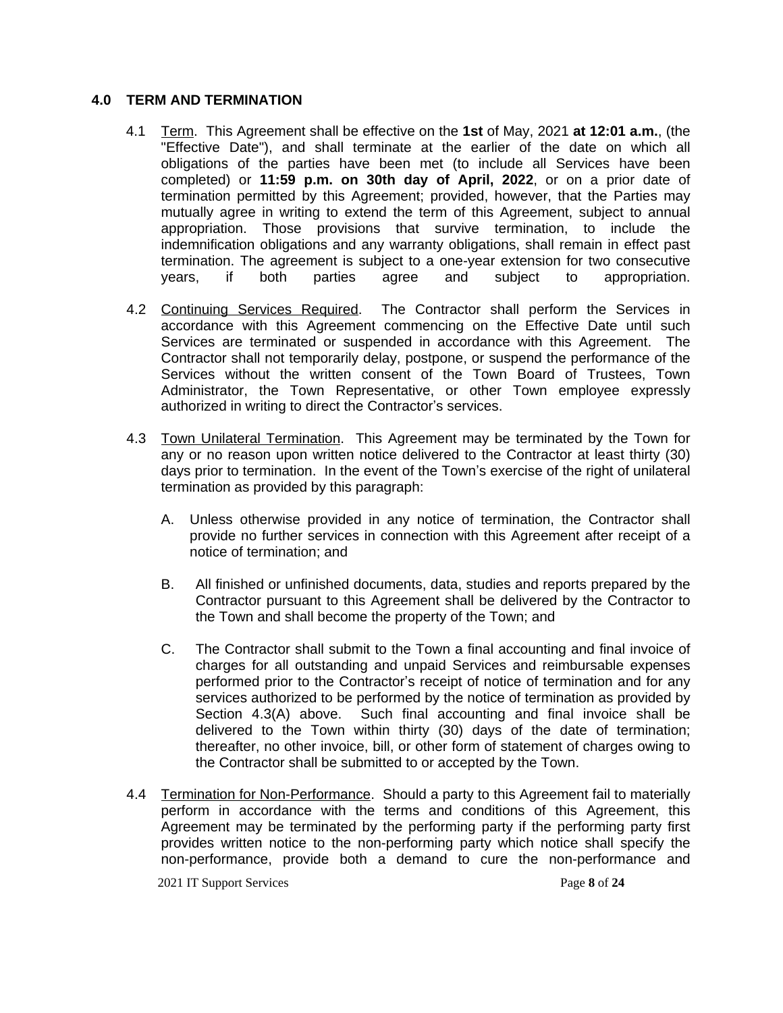# **4.0 TERM AND TERMINATION**

- 4.1 Term. This Agreement shall be effective on the **1st** of May, 2021 **at 12:01 a.m.**, (the "Effective Date"), and shall terminate at the earlier of the date on which all obligations of the parties have been met (to include all Services have been completed) or **11:59 p.m. on 30th day of April, 2022**, or on a prior date of termination permitted by this Agreement; provided, however, that the Parties may mutually agree in writing to extend the term of this Agreement, subject to annual appropriation. Those provisions that survive termination, to include the indemnification obligations and any warranty obligations, shall remain in effect past termination. The agreement is subject to a one-year extension for two consecutive years, if both parties agree and subject to appropriation.
- 4.2 Continuing Services Required. The Contractor shall perform the Services in accordance with this Agreement commencing on the Effective Date until such Services are terminated or suspended in accordance with this Agreement. The Contractor shall not temporarily delay, postpone, or suspend the performance of the Services without the written consent of the Town Board of Trustees, Town Administrator, the Town Representative, or other Town employee expressly authorized in writing to direct the Contractor's services.
- 4.3 Town Unilateral Termination. This Agreement may be terminated by the Town for any or no reason upon written notice delivered to the Contractor at least thirty (30) days prior to termination. In the event of the Town's exercise of the right of unilateral termination as provided by this paragraph:
	- A. Unless otherwise provided in any notice of termination, the Contractor shall provide no further services in connection with this Agreement after receipt of a notice of termination; and
	- B. All finished or unfinished documents, data, studies and reports prepared by the Contractor pursuant to this Agreement shall be delivered by the Contractor to the Town and shall become the property of the Town; and
	- C. The Contractor shall submit to the Town a final accounting and final invoice of charges for all outstanding and unpaid Services and reimbursable expenses performed prior to the Contractor's receipt of notice of termination and for any services authorized to be performed by the notice of termination as provided by Section 4.3(A) above. Such final accounting and final invoice shall be delivered to the Town within thirty (30) days of the date of termination; thereafter, no other invoice, bill, or other form of statement of charges owing to the Contractor shall be submitted to or accepted by the Town.
- 4.4 Termination for Non-Performance. Should a party to this Agreement fail to materially perform in accordance with the terms and conditions of this Agreement, this Agreement may be terminated by the performing party if the performing party first provides written notice to the non-performing party which notice shall specify the non-performance, provide both a demand to cure the non-performance and

2021 IT Support Services Page **8** of **24**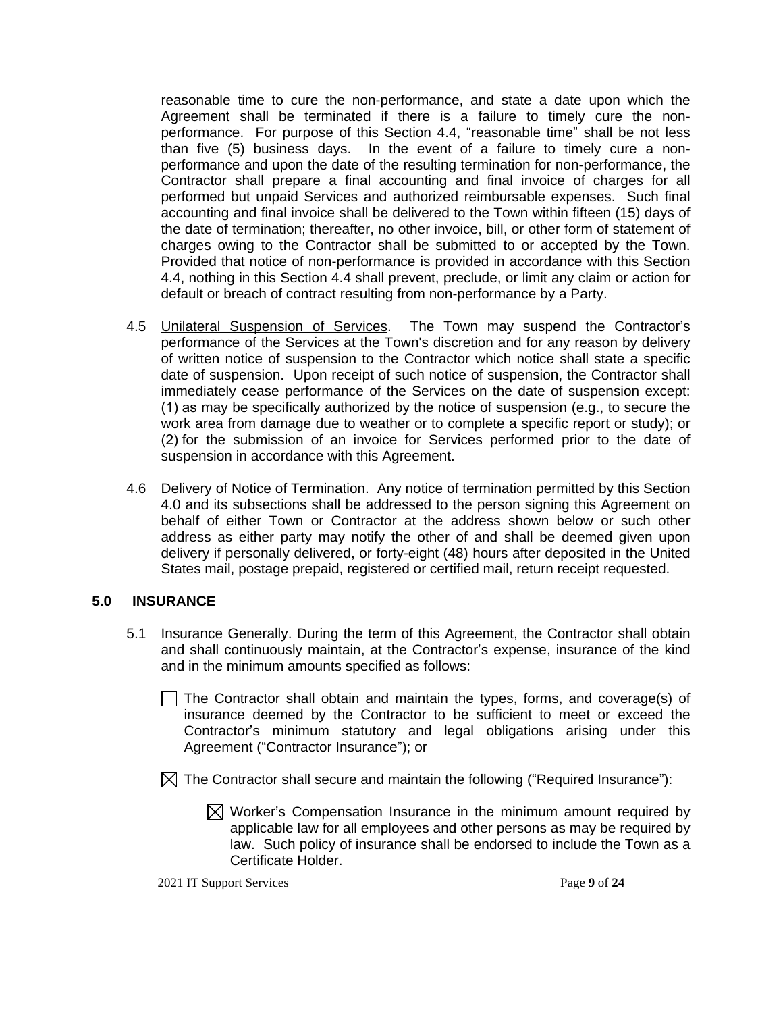reasonable time to cure the non-performance, and state a date upon which the Agreement shall be terminated if there is a failure to timely cure the nonperformance. For purpose of this Section 4.4, "reasonable time" shall be not less than five (5) business days. In the event of a failure to timely cure a nonperformance and upon the date of the resulting termination for non-performance, the Contractor shall prepare a final accounting and final invoice of charges for all performed but unpaid Services and authorized reimbursable expenses. Such final accounting and final invoice shall be delivered to the Town within fifteen (15) days of the date of termination; thereafter, no other invoice, bill, or other form of statement of charges owing to the Contractor shall be submitted to or accepted by the Town. Provided that notice of non-performance is provided in accordance with this Section 4.4, nothing in this Section 4.4 shall prevent, preclude, or limit any claim or action for default or breach of contract resulting from non-performance by a Party.

- 4.5 Unilateral Suspension of Services. The Town may suspend the Contractor's performance of the Services at the Town's discretion and for any reason by delivery of written notice of suspension to the Contractor which notice shall state a specific date of suspension. Upon receipt of such notice of suspension, the Contractor shall immediately cease performance of the Services on the date of suspension except: (1) as may be specifically authorized by the notice of suspension (e.g., to secure the work area from damage due to weather or to complete a specific report or study); or (2) for the submission of an invoice for Services performed prior to the date of suspension in accordance with this Agreement.
- 4.6 Delivery of Notice of Termination. Any notice of termination permitted by this Section 4.0 and its subsections shall be addressed to the person signing this Agreement on behalf of either Town or Contractor at the address shown below or such other address as either party may notify the other of and shall be deemed given upon delivery if personally delivered, or forty-eight (48) hours after deposited in the United States mail, postage prepaid, registered or certified mail, return receipt requested.

# **5.0 INSURANCE**

- 5.1 Insurance Generally. During the term of this Agreement, the Contractor shall obtain and shall continuously maintain, at the Contractor's expense, insurance of the kind and in the minimum amounts specified as follows:
	- $\Box$  The Contractor shall obtain and maintain the types, forms, and coverage(s) of insurance deemed by the Contractor to be sufficient to meet or exceed the Contractor's minimum statutory and legal obligations arising under this Agreement ("Contractor Insurance"); or
	- $\boxtimes$  The Contractor shall secure and maintain the following ("Required Insurance"):
		- $\boxtimes$  Worker's Compensation Insurance in the minimum amount required by applicable law for all employees and other persons as may be required by law. Such policy of insurance shall be endorsed to include the Town as a Certificate Holder.

2021 IT Support Services Page **9** of **24**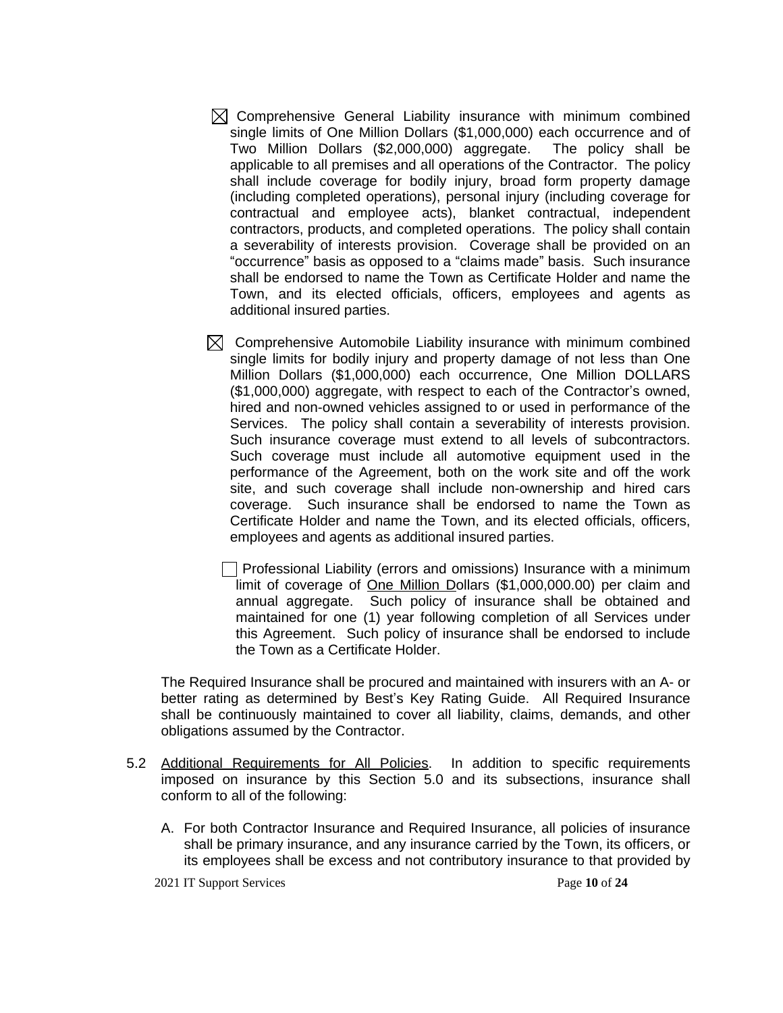- $\boxtimes$  Comprehensive General Liability insurance with minimum combined single limits of One Million Dollars (\$1,000,000) each occurrence and of Two Million Dollars (\$2,000,000) aggregate. The policy shall be applicable to all premises and all operations of the Contractor. The policy shall include coverage for bodily injury, broad form property damage (including completed operations), personal injury (including coverage for contractual and employee acts), blanket contractual, independent contractors, products, and completed operations. The policy shall contain a severability of interests provision. Coverage shall be provided on an "occurrence" basis as opposed to a "claims made" basis. Such insurance shall be endorsed to name the Town as Certificate Holder and name the Town, and its elected officials, officers, employees and agents as additional insured parties.
- $\boxtimes$  Comprehensive Automobile Liability insurance with minimum combined single limits for bodily injury and property damage of not less than One Million Dollars (\$1,000,000) each occurrence, One Million DOLLARS (\$1,000,000) aggregate, with respect to each of the Contractor's owned, hired and non-owned vehicles assigned to or used in performance of the Services. The policy shall contain a severability of interests provision. Such insurance coverage must extend to all levels of subcontractors. Such coverage must include all automotive equipment used in the performance of the Agreement, both on the work site and off the work site, and such coverage shall include non-ownership and hired cars coverage. Such insurance shall be endorsed to name the Town as Certificate Holder and name the Town, and its elected officials, officers, employees and agents as additional insured parties.

Professional Liability (errors and omissions) Insurance with a minimum limit of coverage of One Million Dollars (\$1,000,000.00) per claim and annual aggregate. Such policy of insurance shall be obtained and maintained for one (1) year following completion of all Services under this Agreement. Such policy of insurance shall be endorsed to include the Town as a Certificate Holder.

The Required Insurance shall be procured and maintained with insurers with an A- or better rating as determined by Best's Key Rating Guide. All Required Insurance shall be continuously maintained to cover all liability, claims, demands, and other obligations assumed by the Contractor.

- 5.2 Additional Requirements for All Policies. In addition to specific requirements imposed on insurance by this Section 5.0 and its subsections, insurance shall conform to all of the following:
	- A. For both Contractor Insurance and Required Insurance, all policies of insurance shall be primary insurance, and any insurance carried by the Town, its officers, or its employees shall be excess and not contributory insurance to that provided by

2021 IT Support Services Page **10** of **24**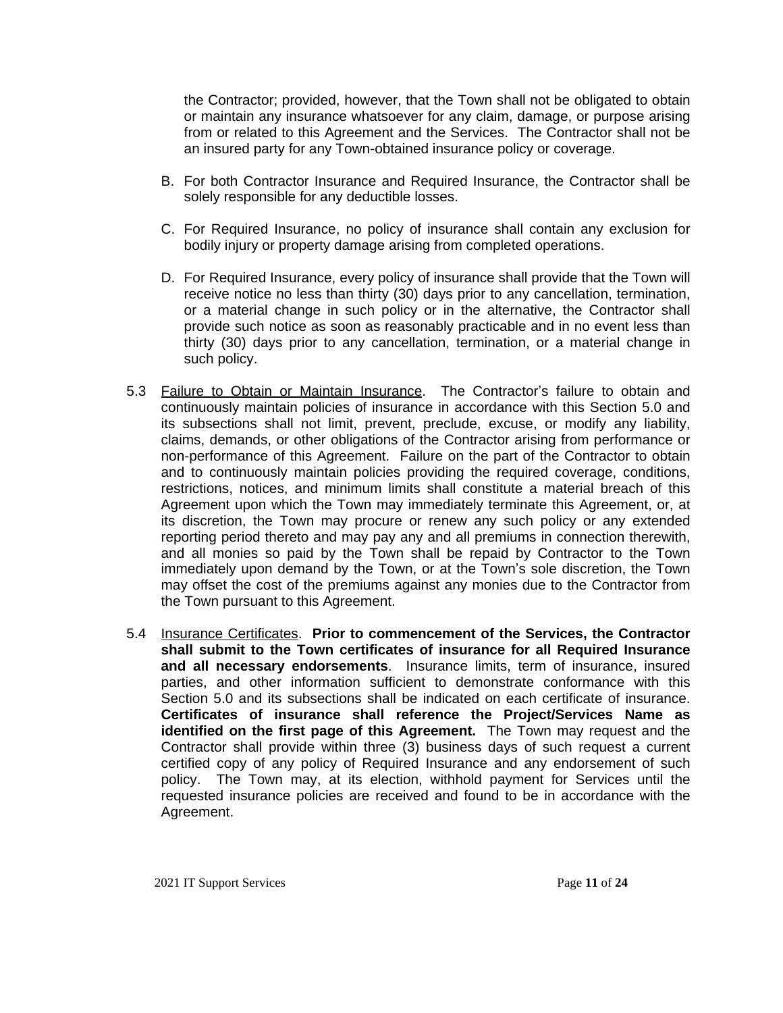the Contractor; provided, however, that the Town shall not be obligated to obtain or maintain any insurance whatsoever for any claim, damage, or purpose arising from or related to this Agreement and the Services. The Contractor shall not be an insured party for any Town-obtained insurance policy or coverage.

- B. For both Contractor Insurance and Required Insurance, the Contractor shall be solely responsible for any deductible losses.
- C. For Required Insurance, no policy of insurance shall contain any exclusion for bodily injury or property damage arising from completed operations.
- D. For Required Insurance, every policy of insurance shall provide that the Town will receive notice no less than thirty (30) days prior to any cancellation, termination, or a material change in such policy or in the alternative, the Contractor shall provide such notice as soon as reasonably practicable and in no event less than thirty (30) days prior to any cancellation, termination, or a material change in such policy.
- 5.3 Failure to Obtain or Maintain Insurance. The Contractor's failure to obtain and continuously maintain policies of insurance in accordance with this Section 5.0 and its subsections shall not limit, prevent, preclude, excuse, or modify any liability, claims, demands, or other obligations of the Contractor arising from performance or non-performance of this Agreement. Failure on the part of the Contractor to obtain and to continuously maintain policies providing the required coverage, conditions, restrictions, notices, and minimum limits shall constitute a material breach of this Agreement upon which the Town may immediately terminate this Agreement, or, at its discretion, the Town may procure or renew any such policy or any extended reporting period thereto and may pay any and all premiums in connection therewith, and all monies so paid by the Town shall be repaid by Contractor to the Town immediately upon demand by the Town, or at the Town's sole discretion, the Town may offset the cost of the premiums against any monies due to the Contractor from the Town pursuant to this Agreement.
- 5.4 Insurance Certificates. **Prior to commencement of the Services, the Contractor shall submit to the Town certificates of insurance for all Required Insurance and all necessary endorsements**. Insurance limits, term of insurance, insured parties, and other information sufficient to demonstrate conformance with this Section 5.0 and its subsections shall be indicated on each certificate of insurance. **Certificates of insurance shall reference the Project/Services Name as identified on the first page of this Agreement.** The Town may request and the Contractor shall provide within three (3) business days of such request a current certified copy of any policy of Required Insurance and any endorsement of such policy. The Town may, at its election, withhold payment for Services until the requested insurance policies are received and found to be in accordance with the Agreement.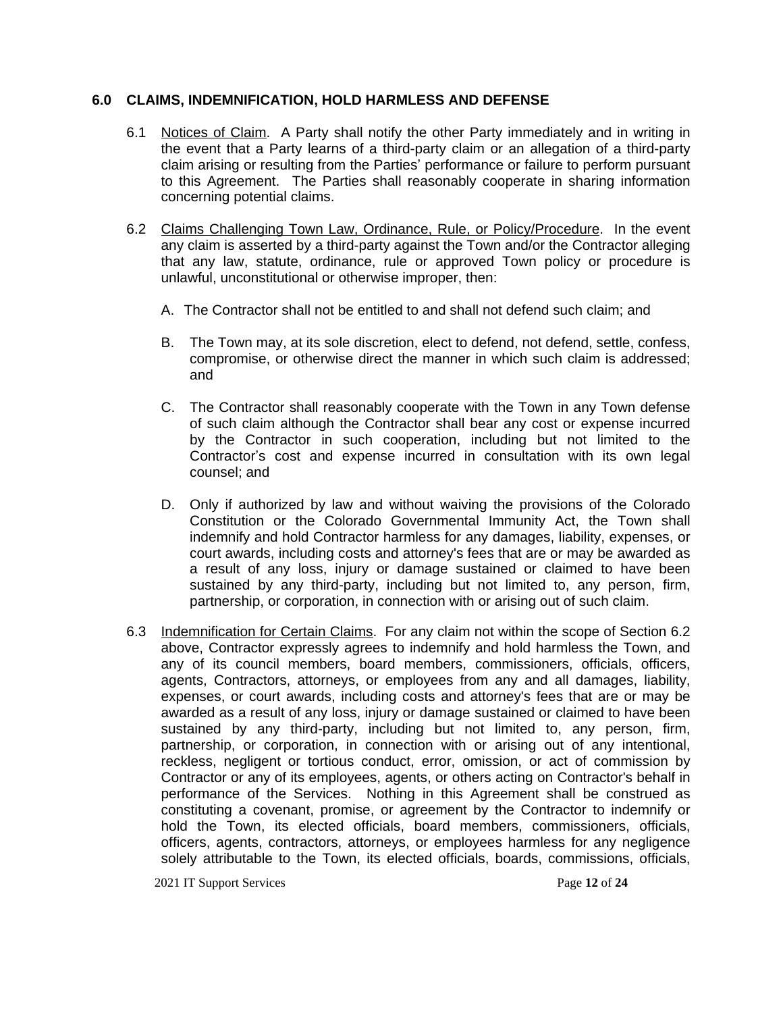#### **6.0 CLAIMS, INDEMNIFICATION, HOLD HARMLESS AND DEFENSE**

- 6.1 Notices of Claim. A Party shall notify the other Party immediately and in writing in the event that a Party learns of a third-party claim or an allegation of a third-party claim arising or resulting from the Parties' performance or failure to perform pursuant to this Agreement. The Parties shall reasonably cooperate in sharing information concerning potential claims.
- 6.2 Claims Challenging Town Law, Ordinance, Rule, or Policy/Procedure. In the event any claim is asserted by a third-party against the Town and/or the Contractor alleging that any law, statute, ordinance, rule or approved Town policy or procedure is unlawful, unconstitutional or otherwise improper, then:
	- A. The Contractor shall not be entitled to and shall not defend such claim; and
	- B. The Town may, at its sole discretion, elect to defend, not defend, settle, confess, compromise, or otherwise direct the manner in which such claim is addressed; and
	- C. The Contractor shall reasonably cooperate with the Town in any Town defense of such claim although the Contractor shall bear any cost or expense incurred by the Contractor in such cooperation, including but not limited to the Contractor's cost and expense incurred in consultation with its own legal counsel; and
	- D. Only if authorized by law and without waiving the provisions of the Colorado Constitution or the Colorado Governmental Immunity Act, the Town shall indemnify and hold Contractor harmless for any damages, liability, expenses, or court awards, including costs and attorney's fees that are or may be awarded as a result of any loss, injury or damage sustained or claimed to have been sustained by any third-party, including but not limited to, any person, firm, partnership, or corporation, in connection with or arising out of such claim.
- 6.3 Indemnification for Certain Claims. For any claim not within the scope of Section 6.2 above, Contractor expressly agrees to indemnify and hold harmless the Town, and any of its council members, board members, commissioners, officials, officers, agents, Contractors, attorneys, or employees from any and all damages, liability, expenses, or court awards, including costs and attorney's fees that are or may be awarded as a result of any loss, injury or damage sustained or claimed to have been sustained by any third-party, including but not limited to, any person, firm, partnership, or corporation, in connection with or arising out of any intentional, reckless, negligent or tortious conduct, error, omission, or act of commission by Contractor or any of its employees, agents, or others acting on Contractor's behalf in performance of the Services. Nothing in this Agreement shall be construed as constituting a covenant, promise, or agreement by the Contractor to indemnify or hold the Town, its elected officials, board members, commissioners, officials, officers, agents, contractors, attorneys, or employees harmless for any negligence solely attributable to the Town, its elected officials, boards, commissions, officials,

2021 IT Support Services Page **12** of **24**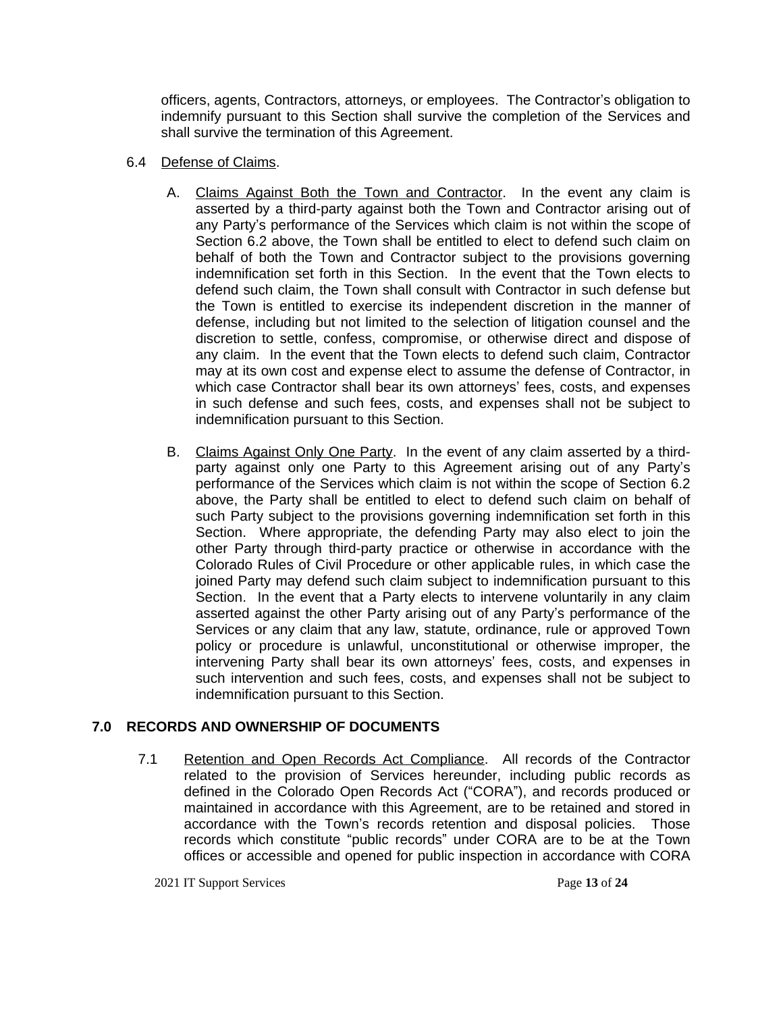officers, agents, Contractors, attorneys, or employees. The Contractor's obligation to indemnify pursuant to this Section shall survive the completion of the Services and shall survive the termination of this Agreement.

### 6.4 Defense of Claims.

- A. Claims Against Both the Town and Contractor. In the event any claim is asserted by a third-party against both the Town and Contractor arising out of any Party's performance of the Services which claim is not within the scope of Section 6.2 above, the Town shall be entitled to elect to defend such claim on behalf of both the Town and Contractor subject to the provisions governing indemnification set forth in this Section. In the event that the Town elects to defend such claim, the Town shall consult with Contractor in such defense but the Town is entitled to exercise its independent discretion in the manner of defense, including but not limited to the selection of litigation counsel and the discretion to settle, confess, compromise, or otherwise direct and dispose of any claim. In the event that the Town elects to defend such claim, Contractor may at its own cost and expense elect to assume the defense of Contractor, in which case Contractor shall bear its own attorneys' fees, costs, and expenses in such defense and such fees, costs, and expenses shall not be subject to indemnification pursuant to this Section.
- B. Claims Against Only One Party. In the event of any claim asserted by a thirdparty against only one Party to this Agreement arising out of any Party's performance of the Services which claim is not within the scope of Section 6.2 above, the Party shall be entitled to elect to defend such claim on behalf of such Party subject to the provisions governing indemnification set forth in this Section. Where appropriate, the defending Party may also elect to join the other Party through third-party practice or otherwise in accordance with the Colorado Rules of Civil Procedure or other applicable rules, in which case the joined Party may defend such claim subject to indemnification pursuant to this Section. In the event that a Party elects to intervene voluntarily in any claim asserted against the other Party arising out of any Party's performance of the Services or any claim that any law, statute, ordinance, rule or approved Town policy or procedure is unlawful, unconstitutional or otherwise improper, the intervening Party shall bear its own attorneys' fees, costs, and expenses in such intervention and such fees, costs, and expenses shall not be subject to indemnification pursuant to this Section.

# **7.0 RECORDS AND OWNERSHIP OF DOCUMENTS**

7.1 Retention and Open Records Act Compliance. All records of the Contractor related to the provision of Services hereunder, including public records as defined in the Colorado Open Records Act ("CORA"), and records produced or maintained in accordance with this Agreement, are to be retained and stored in accordance with the Town's records retention and disposal policies. Those records which constitute "public records" under CORA are to be at the Town offices or accessible and opened for public inspection in accordance with CORA

2021 IT Support Services Page **13** of **24**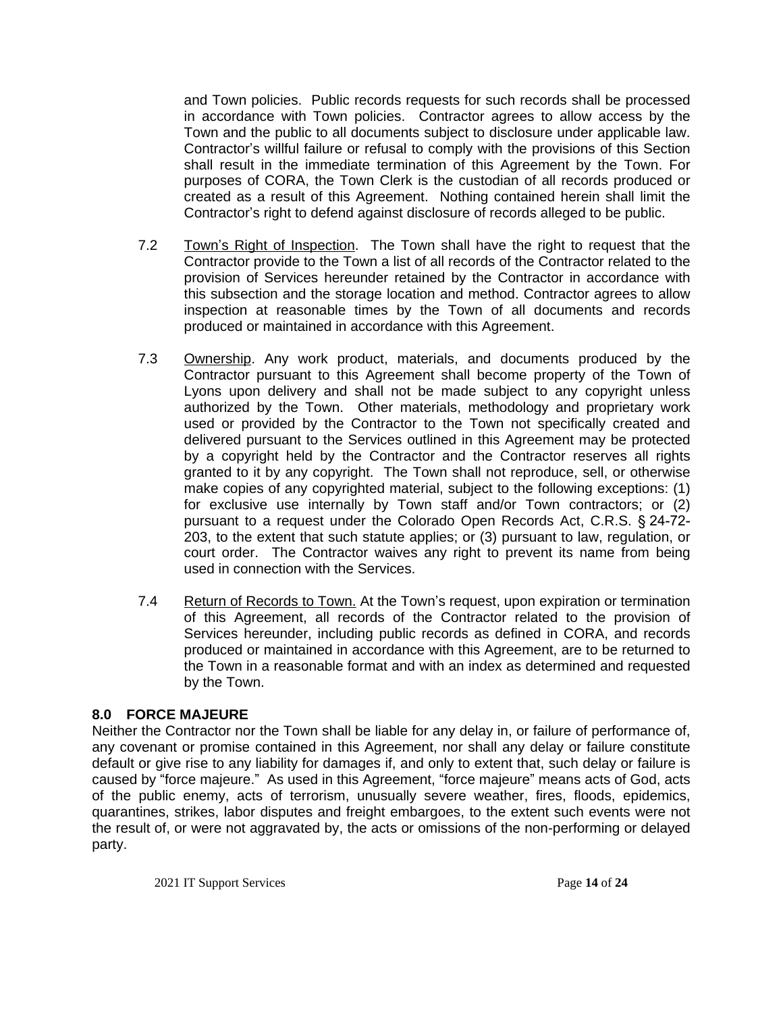and Town policies. Public records requests for such records shall be processed in accordance with Town policies. Contractor agrees to allow access by the Town and the public to all documents subject to disclosure under applicable law. Contractor's willful failure or refusal to comply with the provisions of this Section shall result in the immediate termination of this Agreement by the Town. For purposes of CORA, the Town Clerk is the custodian of all records produced or created as a result of this Agreement. Nothing contained herein shall limit the Contractor's right to defend against disclosure of records alleged to be public.

- 7.2 Town's Right of Inspection. The Town shall have the right to request that the Contractor provide to the Town a list of all records of the Contractor related to the provision of Services hereunder retained by the Contractor in accordance with this subsection and the storage location and method. Contractor agrees to allow inspection at reasonable times by the Town of all documents and records produced or maintained in accordance with this Agreement.
- 7.3 Ownership. Any work product, materials, and documents produced by the Contractor pursuant to this Agreement shall become property of the Town of Lyons upon delivery and shall not be made subject to any copyright unless authorized by the Town. Other materials, methodology and proprietary work used or provided by the Contractor to the Town not specifically created and delivered pursuant to the Services outlined in this Agreement may be protected by a copyright held by the Contractor and the Contractor reserves all rights granted to it by any copyright. The Town shall not reproduce, sell, or otherwise make copies of any copyrighted material, subject to the following exceptions: (1) for exclusive use internally by Town staff and/or Town contractors; or (2) pursuant to a request under the Colorado Open Records Act, C.R.S. § 24-72- 203, to the extent that such statute applies; or (3) pursuant to law, regulation, or court order. The Contractor waives any right to prevent its name from being used in connection with the Services.
- 7.4 Return of Records to Town. At the Town's request, upon expiration or termination of this Agreement, all records of the Contractor related to the provision of Services hereunder, including public records as defined in CORA, and records produced or maintained in accordance with this Agreement, are to be returned to the Town in a reasonable format and with an index as determined and requested by the Town.

# **8.0 FORCE MAJEURE**

Neither the Contractor nor the Town shall be liable for any delay in, or failure of performance of, any covenant or promise contained in this Agreement, nor shall any delay or failure constitute default or give rise to any liability for damages if, and only to extent that, such delay or failure is caused by "force majeure." As used in this Agreement, "force majeure" means acts of God, acts of the public enemy, acts of terrorism, unusually severe weather, fires, floods, epidemics, quarantines, strikes, labor disputes and freight embargoes, to the extent such events were not the result of, or were not aggravated by, the acts or omissions of the non-performing or delayed party.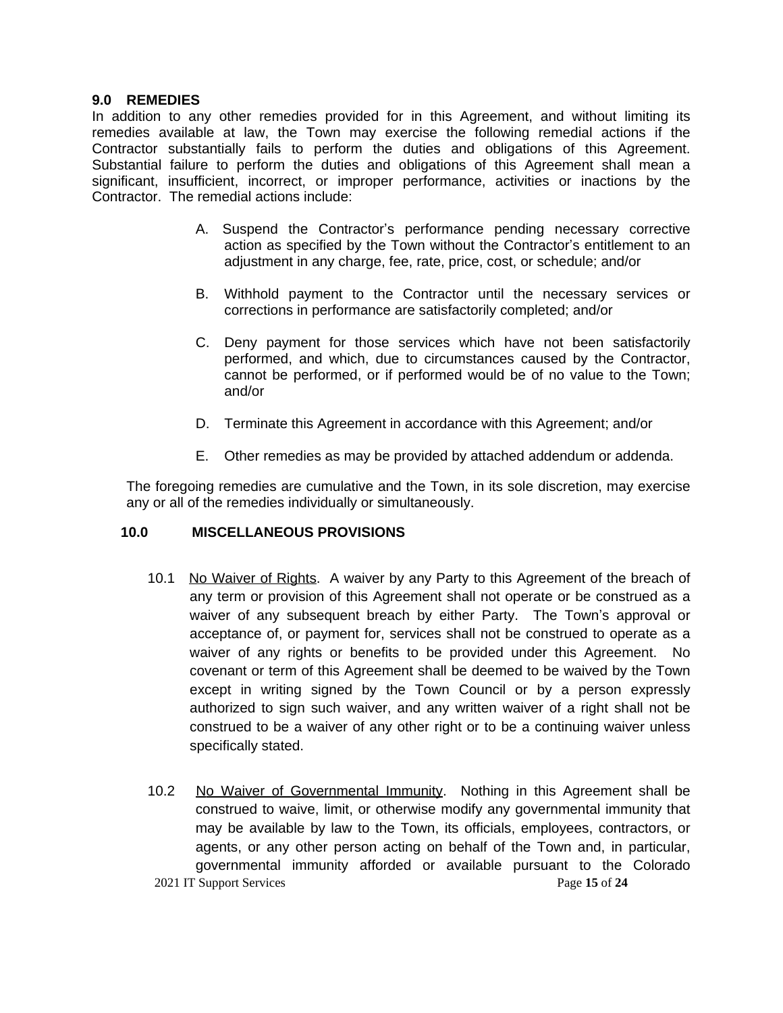#### **9.0 REMEDIES**

In addition to any other remedies provided for in this Agreement, and without limiting its remedies available at law, the Town may exercise the following remedial actions if the Contractor substantially fails to perform the duties and obligations of this Agreement. Substantial failure to perform the duties and obligations of this Agreement shall mean a significant, insufficient, incorrect, or improper performance, activities or inactions by the Contractor. The remedial actions include:

- A. Suspend the Contractor's performance pending necessary corrective action as specified by the Town without the Contractor's entitlement to an adjustment in any charge, fee, rate, price, cost, or schedule; and/or
- B. Withhold payment to the Contractor until the necessary services or corrections in performance are satisfactorily completed; and/or
- C. Deny payment for those services which have not been satisfactorily performed, and which, due to circumstances caused by the Contractor, cannot be performed, or if performed would be of no value to the Town; and/or
- D. Terminate this Agreement in accordance with this Agreement; and/or
- E. Other remedies as may be provided by attached addendum or addenda.

The foregoing remedies are cumulative and the Town, in its sole discretion, may exercise any or all of the remedies individually or simultaneously.

#### **10.0 MISCELLANEOUS PROVISIONS**

- 10.1 No Waiver of Rights. A waiver by any Party to this Agreement of the breach of any term or provision of this Agreement shall not operate or be construed as a waiver of any subsequent breach by either Party. The Town's approval or acceptance of, or payment for, services shall not be construed to operate as a waiver of any rights or benefits to be provided under this Agreement. No covenant or term of this Agreement shall be deemed to be waived by the Town except in writing signed by the Town Council or by a person expressly authorized to sign such waiver, and any written waiver of a right shall not be construed to be a waiver of any other right or to be a continuing waiver unless specifically stated.
- 2021 IT Support Services Page **15** of **24** 10.2 No Waiver of Governmental Immunity. Nothing in this Agreement shall be construed to waive, limit, or otherwise modify any governmental immunity that may be available by law to the Town, its officials, employees, contractors, or agents, or any other person acting on behalf of the Town and, in particular, governmental immunity afforded or available pursuant to the Colorado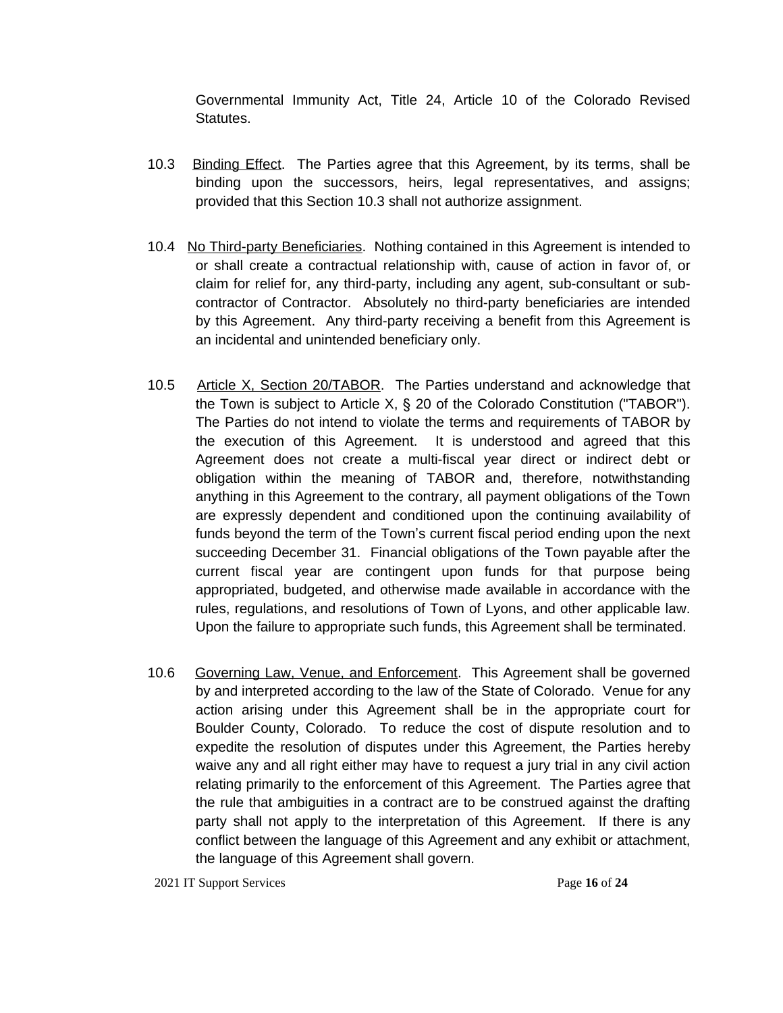Governmental Immunity Act, Title 24, Article 10 of the Colorado Revised Statutes.

- 10.3 Binding Effect. The Parties agree that this Agreement, by its terms, shall be binding upon the successors, heirs, legal representatives, and assigns; provided that this Section 10.3 shall not authorize assignment.
- 10.4 No Third-party Beneficiaries. Nothing contained in this Agreement is intended to or shall create a contractual relationship with, cause of action in favor of, or claim for relief for, any third-party, including any agent, sub-consultant or subcontractor of Contractor. Absolutely no third-party beneficiaries are intended by this Agreement. Any third-party receiving a benefit from this Agreement is an incidental and unintended beneficiary only.
- 10.5 Article X, Section 20/TABOR. The Parties understand and acknowledge that the Town is subject to Article X, § 20 of the Colorado Constitution ("TABOR"). The Parties do not intend to violate the terms and requirements of TABOR by the execution of this Agreement. It is understood and agreed that this Agreement does not create a multi-fiscal year direct or indirect debt or obligation within the meaning of TABOR and, therefore, notwithstanding anything in this Agreement to the contrary, all payment obligations of the Town are expressly dependent and conditioned upon the continuing availability of funds beyond the term of the Town's current fiscal period ending upon the next succeeding December 31. Financial obligations of the Town payable after the current fiscal year are contingent upon funds for that purpose being appropriated, budgeted, and otherwise made available in accordance with the rules, regulations, and resolutions of Town of Lyons, and other applicable law. Upon the failure to appropriate such funds, this Agreement shall be terminated.
- 10.6 Governing Law, Venue, and Enforcement. This Agreement shall be governed by and interpreted according to the law of the State of Colorado. Venue for any action arising under this Agreement shall be in the appropriate court for Boulder County, Colorado. To reduce the cost of dispute resolution and to expedite the resolution of disputes under this Agreement, the Parties hereby waive any and all right either may have to request a jury trial in any civil action relating primarily to the enforcement of this Agreement. The Parties agree that the rule that ambiguities in a contract are to be construed against the drafting party shall not apply to the interpretation of this Agreement. If there is any conflict between the language of this Agreement and any exhibit or attachment, the language of this Agreement shall govern.

2021 IT Support Services Page **16** of **24**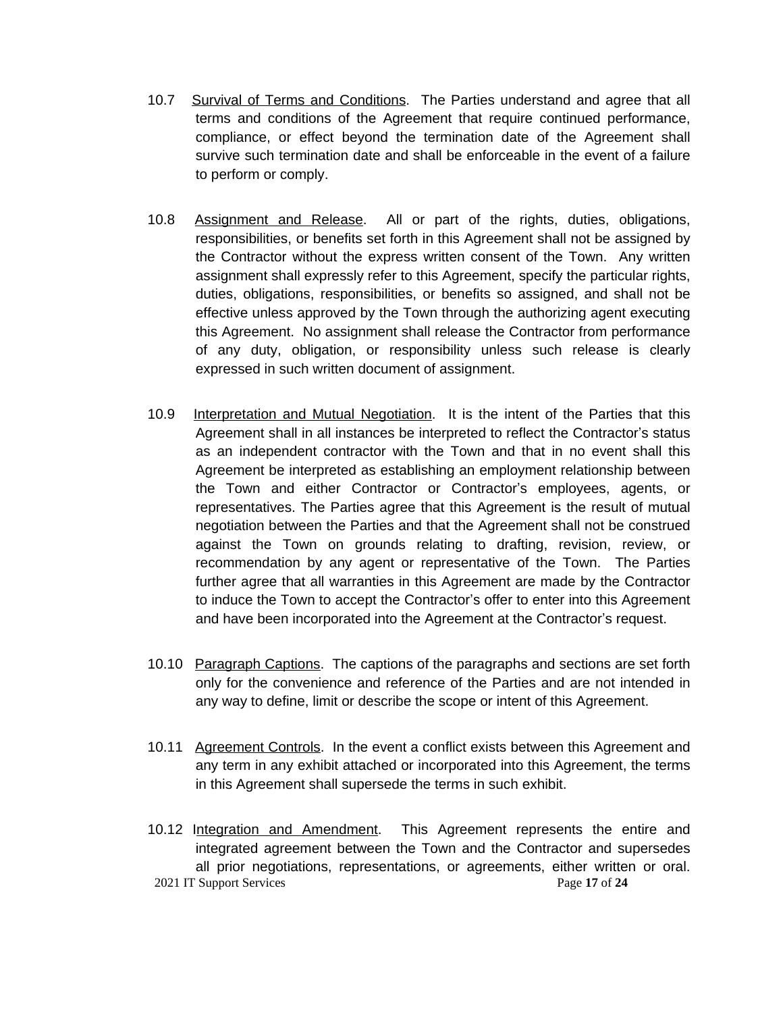- 10.7 Survival of Terms and Conditions. The Parties understand and agree that all terms and conditions of the Agreement that require continued performance, compliance, or effect beyond the termination date of the Agreement shall survive such termination date and shall be enforceable in the event of a failure to perform or comply.
- 10.8 Assignment and Release. All or part of the rights, duties, obligations, responsibilities, or benefits set forth in this Agreement shall not be assigned by the Contractor without the express written consent of the Town. Any written assignment shall expressly refer to this Agreement, specify the particular rights, duties, obligations, responsibilities, or benefits so assigned, and shall not be effective unless approved by the Town through the authorizing agent executing this Agreement. No assignment shall release the Contractor from performance of any duty, obligation, or responsibility unless such release is clearly expressed in such written document of assignment.
- 10.9 Interpretation and Mutual Negotiation. It is the intent of the Parties that this Agreement shall in all instances be interpreted to reflect the Contractor's status as an independent contractor with the Town and that in no event shall this Agreement be interpreted as establishing an employment relationship between the Town and either Contractor or Contractor's employees, agents, or representatives. The Parties agree that this Agreement is the result of mutual negotiation between the Parties and that the Agreement shall not be construed against the Town on grounds relating to drafting, revision, review, or recommendation by any agent or representative of the Town. The Parties further agree that all warranties in this Agreement are made by the Contractor to induce the Town to accept the Contractor's offer to enter into this Agreement and have been incorporated into the Agreement at the Contractor's request.
- 10.10 Paragraph Captions. The captions of the paragraphs and sections are set forth only for the convenience and reference of the Parties and are not intended in any way to define, limit or describe the scope or intent of this Agreement.
- 10.11 Agreement Controls. In the event a conflict exists between this Agreement and any term in any exhibit attached or incorporated into this Agreement, the terms in this Agreement shall supersede the terms in such exhibit.
- 2021 IT Support Services Page **17** of **24** 10.12 Integration and Amendment. This Agreement represents the entire and integrated agreement between the Town and the Contractor and supersedes all prior negotiations, representations, or agreements, either written or oral.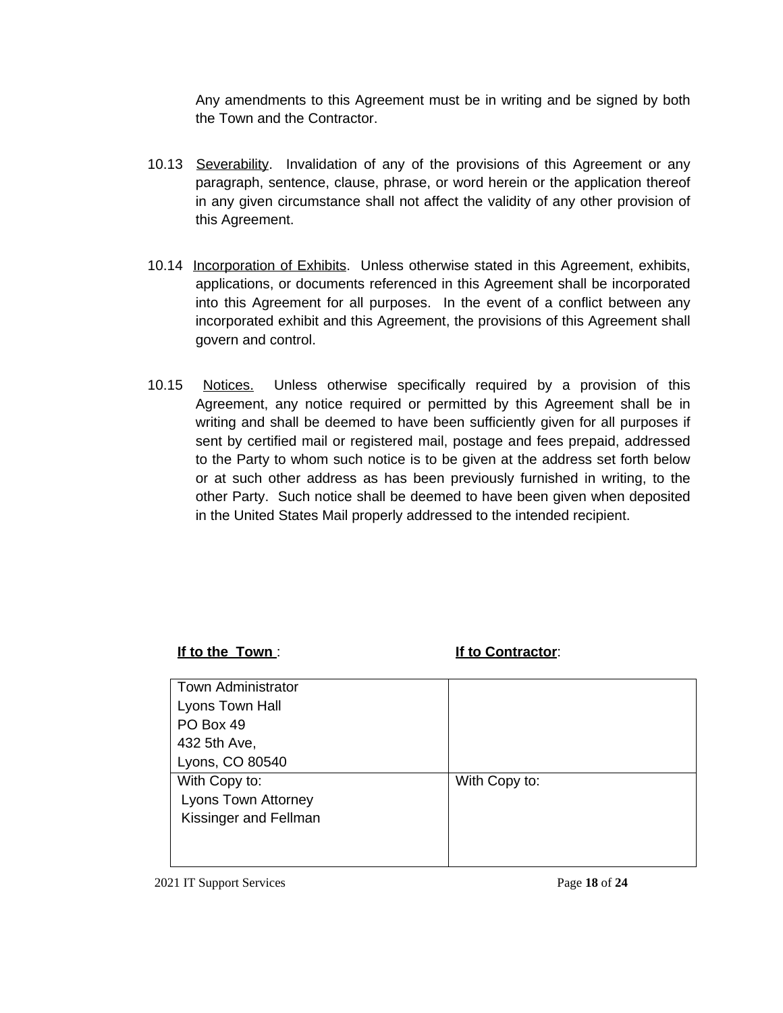Any amendments to this Agreement must be in writing and be signed by both the Town and the Contractor.

- 10.13 Severability. Invalidation of any of the provisions of this Agreement or any paragraph, sentence, clause, phrase, or word herein or the application thereof in any given circumstance shall not affect the validity of any other provision of this Agreement.
- 10.14 Incorporation of Exhibits. Unless otherwise stated in this Agreement, exhibits, applications, or documents referenced in this Agreement shall be incorporated into this Agreement for all purposes. In the event of a conflict between any incorporated exhibit and this Agreement, the provisions of this Agreement shall govern and control.
- 10.15 Notices. Unless otherwise specifically required by a provision of this Agreement, any notice required or permitted by this Agreement shall be in writing and shall be deemed to have been sufficiently given for all purposes if sent by certified mail or registered mail, postage and fees prepaid, addressed to the Party to whom such notice is to be given at the address set forth below or at such other address as has been previously furnished in writing, to the other Party. Such notice shall be deemed to have been given when deposited in the United States Mail properly addressed to the intended recipient.

# **If to the Town** : **If to Contractor**:

| <b>Town Administrator</b>  |               |
|----------------------------|---------------|
| Lyons Town Hall            |               |
| PO Box 49                  |               |
| 432 5th Ave,               |               |
| Lyons, CO 80540            |               |
| With Copy to:              | With Copy to: |
| <b>Lyons Town Attorney</b> |               |
| Kissinger and Fellman      |               |
|                            |               |
|                            |               |
|                            |               |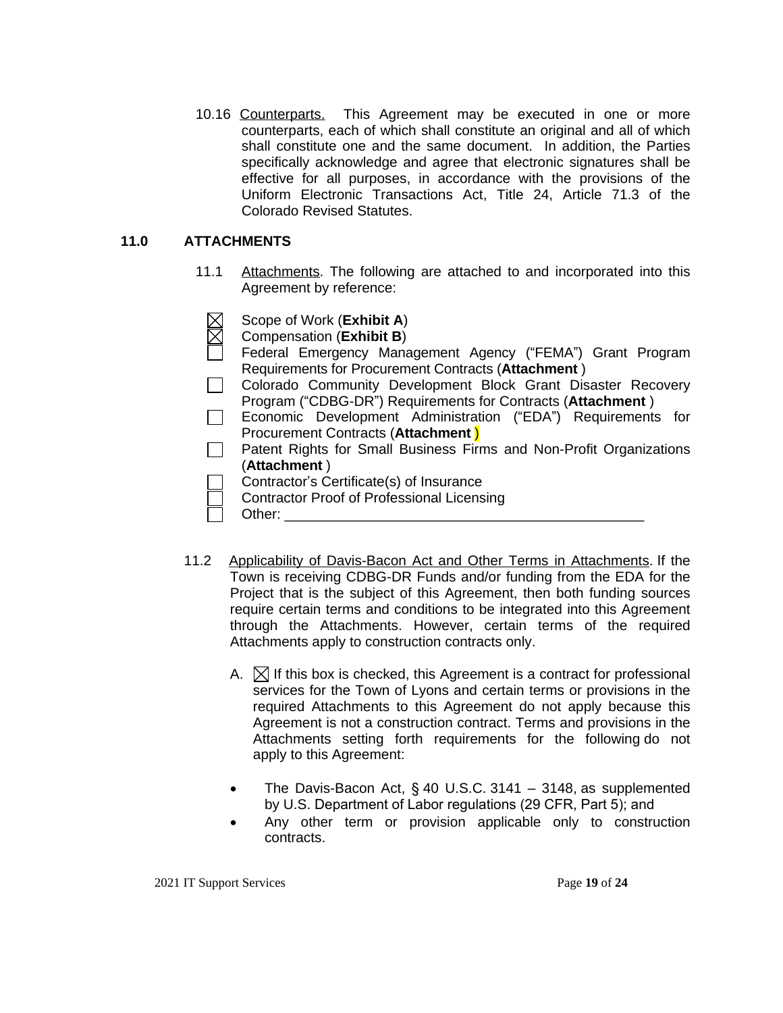10.16 Counterparts. This Agreement may be executed in one or more counterparts, each of which shall constitute an original and all of which shall constitute one and the same document. In addition, the Parties specifically acknowledge and agree that electronic signatures shall be effective for all purposes, in accordance with the provisions of the Uniform Electronic Transactions Act, Title 24, Article 71.3 of the Colorado Revised Statutes.

### **11.0 ATTACHMENTS**

- 11.1 Attachments. The following are attached to and incorporated into this Agreement by reference:
	- Scope of Work (**Exhibit A**)
	- Compensation (**Exhibit B**)
	- Federal Emergency Management Agency ("FEMA") Grant Program Requirements for Procurement Contracts (**Attachment** )
	- Colorado Community Development Block Grant Disaster Recovery Program ("CDBG-DR") Requirements for Contracts (**Attachment** )
	- Economic Development Administration ("EDA") Requirements for Procurement Contracts (**Attachment** )
	- Patent Rights for Small Business Firms and Non-Profit Organizations (**Attachment** )
		- Contractor's Certificate(s) of Insurance
		- Contractor Proof of Professional Licensing
			- Other:
- 11.2 Applicability of Davis-Bacon Act and Other Terms in Attachments. If the Town is receiving CDBG-DR Funds and/or funding from the EDA for the Project that is the subject of this Agreement, then both funding sources require certain terms and conditions to be integrated into this Agreement through the Attachments. However, certain terms of the required Attachments apply to construction contracts only.
	- A.  $\boxtimes$  If this box is checked, this Agreement is a contract for professional services for the Town of Lyons and certain terms or provisions in the required Attachments to this Agreement do not apply because this Agreement is not a construction contract. Terms and provisions in the Attachments setting forth requirements for the following do not apply to this Agreement:
	- The Davis-Bacon Act, § 40 U.S.C. 3141 3148, as supplemented by U.S. Department of Labor regulations (29 CFR, Part 5); and
	- Any other term or provision applicable only to construction contracts.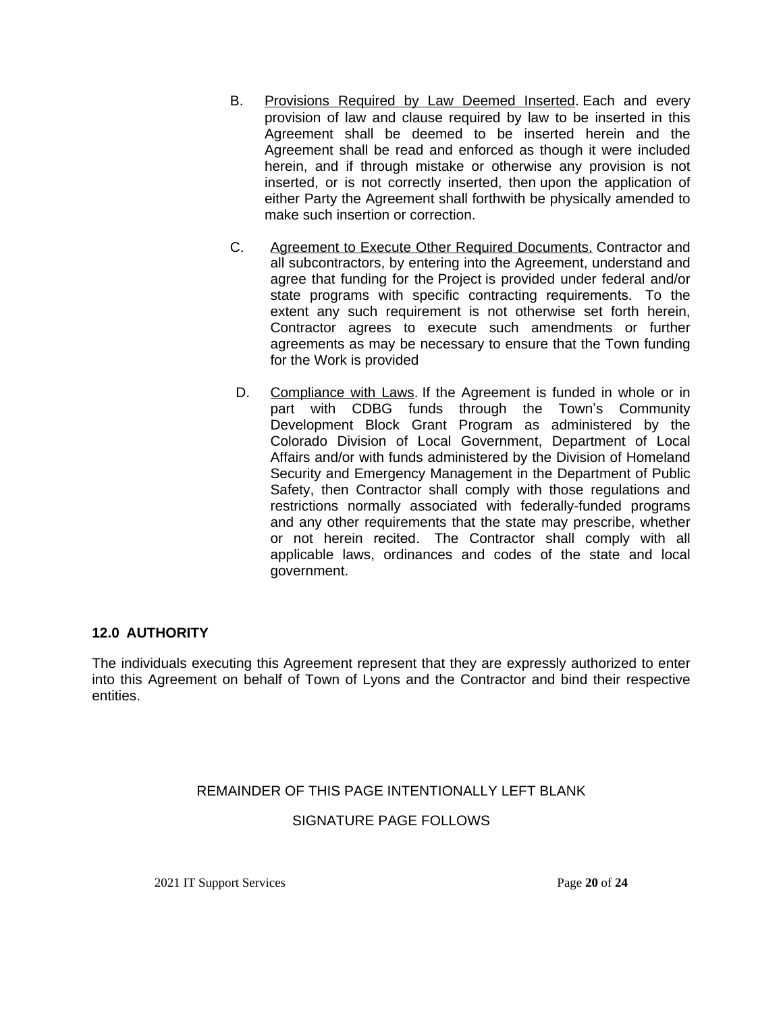- B. Provisions Required by Law Deemed Inserted. Each and every provision of law and clause required by law to be inserted in this Agreement shall be deemed to be inserted herein and the Agreement shall be read and enforced as though it were included herein, and if through mistake or otherwise any provision is not inserted, or is not correctly inserted, then upon the application of either Party the Agreement shall forthwith be physically amended to make such insertion or correction.
- C. Agreement to Execute Other Required Documents. Contractor and all subcontractors, by entering into the Agreement, understand and agree that funding for the Project is provided under federal and/or state programs with specific contracting requirements. To the extent any such requirement is not otherwise set forth herein, Contractor agrees to execute such amendments or further agreements as may be necessary to ensure that the Town funding for the Work is provided
- D. Compliance with Laws. If the Agreement is funded in whole or in part with CDBG funds through the Town's Community Development Block Grant Program as administered by the Colorado Division of Local Government, Department of Local Affairs and/or with funds administered by the Division of Homeland Security and Emergency Management in the Department of Public Safety, then Contractor shall comply with those regulations and restrictions normally associated with federally-funded programs and any other requirements that the state may prescribe, whether or not herein recited. The Contractor shall comply with all applicable laws, ordinances and codes of the state and local government.

# **12.0 AUTHORITY**

The individuals executing this Agreement represent that they are expressly authorized to enter into this Agreement on behalf of Town of Lyons and the Contractor and bind their respective entities.

# REMAINDER OF THIS PAGE INTENTIONALLY LEFT BLANK

# SIGNATURE PAGE FOLLOWS

2021 IT Support Services Page **20** of **24**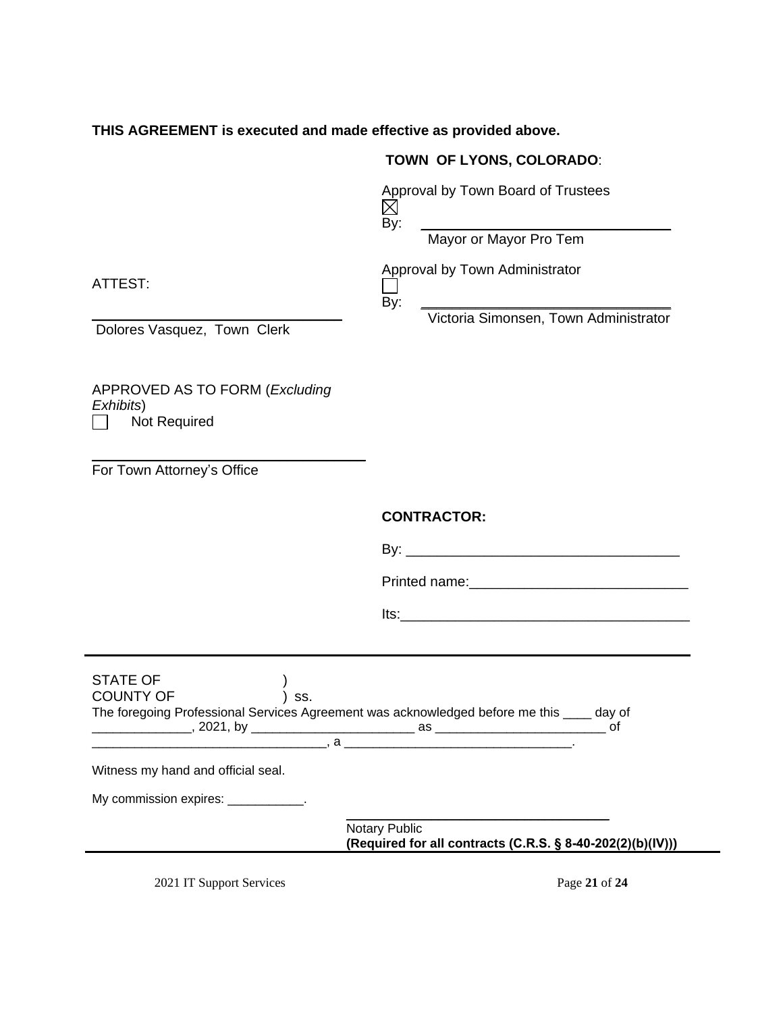#### **THIS AGREEMENT is executed and made effective as provided above.**

# **TOWN OF LYONS, COLORADO**:

Approval by Town Board of Trustees  $\boxtimes$ By: \_\_\_\_\_\_\_\_\_\_\_\_\_\_\_\_\_\_\_\_\_\_\_\_\_\_\_\_\_\_\_\_

Mayor or Mayor Pro Tem

Approval by Town Administrator

By: \_\_\_\_\_\_\_\_\_\_\_\_\_\_\_\_\_\_\_\_\_\_\_\_\_\_\_\_\_\_\_\_

Victoria Simonsen, Town Administrator

ATTEST:

Dolores Vasquez, Town Clerk

APPROVED AS TO FORM (*Excluding Exhibits*) Not Required  $\mathsf{L}$ 

\_\_\_\_\_\_\_\_\_\_\_\_\_\_\_\_\_\_\_\_\_\_\_\_\_\_\_\_\_\_\_\_

\_\_\_\_\_\_\_\_\_\_\_\_\_\_\_\_\_\_\_\_\_\_\_\_\_\_\_\_\_\_\_\_\_\_\_ For Town Attorney's Office

#### **CONTRACTOR:**

| By·           |  |  |
|---------------|--|--|
| Printed name: |  |  |
| lts:          |  |  |

| <b>STATE OF</b><br><b>COUNTY OF</b><br>SS.                                         |                                                                                    |        |
|------------------------------------------------------------------------------------|------------------------------------------------------------------------------------|--------|
| The foregoing Professional Services Agreement was acknowledged before me this ____ |                                                                                    | day of |
|                                                                                    |                                                                                    | of     |
|                                                                                    | $a \sim a$                                                                         |        |
| Witness my hand and official seal.                                                 |                                                                                    |        |
| My commission expires: ____________.                                               |                                                                                    |        |
|                                                                                    | <b>Notary Public</b><br>(Required for all contracts (C.R.S. § 8-40-202(2)(b)(IV))) |        |
|                                                                                    |                                                                                    |        |

2021 IT Support Services Page **21** of **24**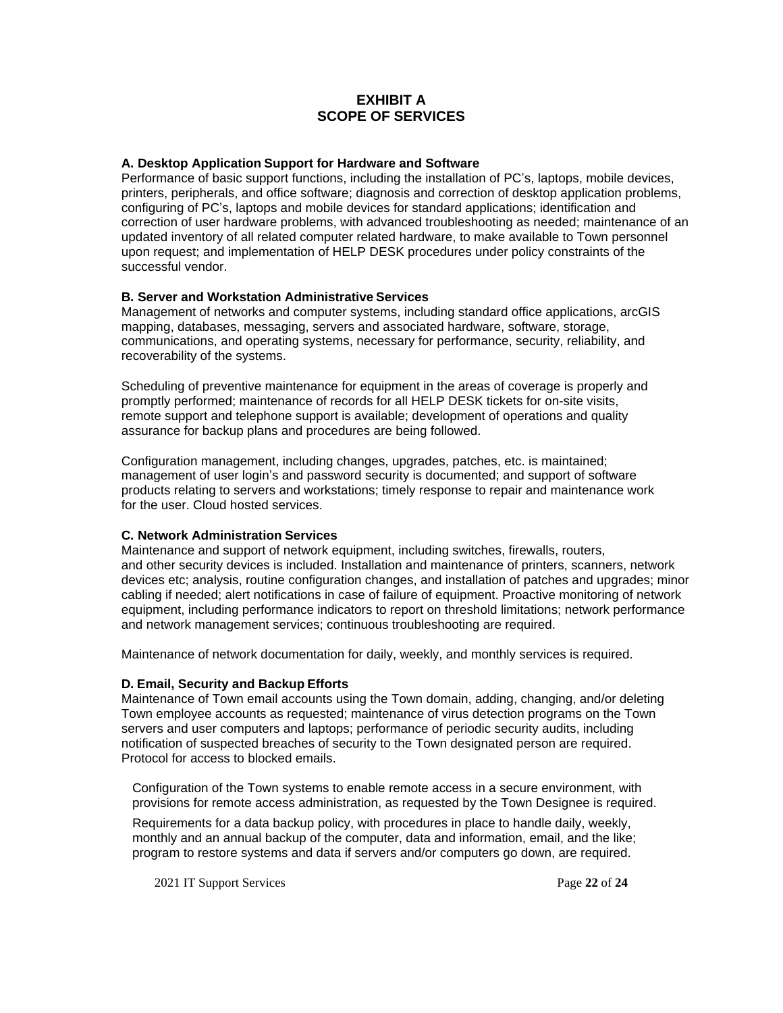#### **EXHIBIT A SCOPE OF SERVICES**

#### **A. Desktop Application Support for Hardware and Software**

Performance of basic support functions, including the installation of PC's, laptops, mobile devices, printers, peripherals, and office software; diagnosis and correction of desktop application problems, configuring of PC's, laptops and mobile devices for standard applications; identification and correction of user hardware problems, with advanced troubleshooting as needed; maintenance of an updated inventory of all related computer related hardware, to make available to Town personnel upon request; and implementation of HELP DESK procedures under policy constraints of the successful vendor.

#### **B. Server and Workstation Administrative Services**

Management of networks and computer systems, including standard office applications, arcGIS mapping, databases, messaging, servers and associated hardware, software, storage, communications, and operating systems, necessary for performance, security, reliability, and recoverability of the systems.

Scheduling of preventive maintenance for equipment in the areas of coverage is properly and promptly performed; maintenance of records for all HELP DESK tickets for on-site visits, remote support and telephone support is available; development of operations and quality assurance for backup plans and procedures are being followed.

Configuration management, including changes, upgrades, patches, etc. is maintained; management of user login's and password security is documented; and support of software products relating to servers and workstations; timely response to repair and maintenance work for the user. Cloud hosted services.

#### **C. Network Administration Services**

Maintenance and support of network equipment, including switches, firewalls, routers, and other security devices is included. Installation and maintenance of printers, scanners, network devices etc; analysis, routine configuration changes, and installation of patches and upgrades; minor cabling if needed; alert notifications in case of failure of equipment. Proactive monitoring of network equipment, including performance indicators to report on threshold limitations; network performance and network management services; continuous troubleshooting are required.

Maintenance of network documentation for daily, weekly, and monthly services is required.

#### **D. Email, Security and Backup Efforts**

Maintenance of Town email accounts using the Town domain, adding, changing, and/or deleting Town employee accounts as requested; maintenance of virus detection programs on the Town servers and user computers and laptops; performance of periodic security audits, including notification of suspected breaches of security to the Town designated person are required. Protocol for access to blocked emails.

Configuration of the Town systems to enable remote access in a secure environment, with provisions for remote access administration, as requested by the Town Designee is required.

Requirements for a data backup policy, with procedures in place to handle daily, weekly, monthly and an annual backup of the computer, data and information, email, and the like; program to restore systems and data if servers and/or computers go down, are required.

2021 IT Support Services Page **22** of **24**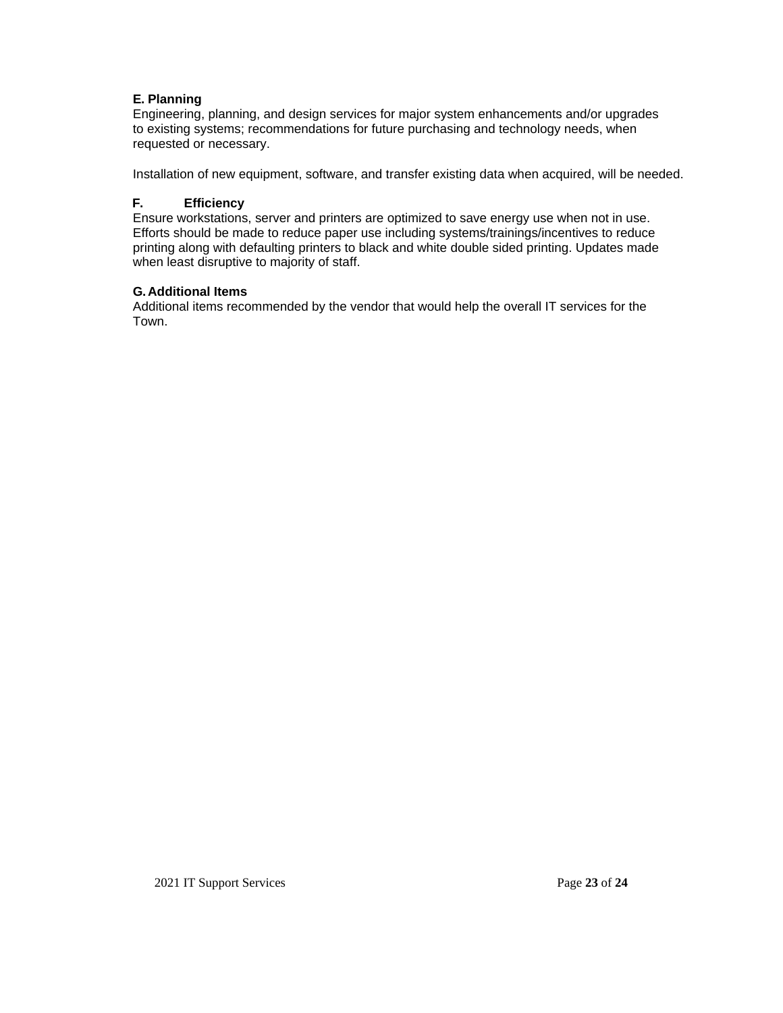#### **E. Planning**

Engineering, planning, and design services for major system enhancements and/or upgrades to existing systems; recommendations for future purchasing and technology needs, when requested or necessary.

Installation of new equipment, software, and transfer existing data when acquired, will be needed.

#### **F. Efficiency**

Ensure workstations, server and printers are optimized to save energy use when not in use. Efforts should be made to reduce paper use including systems/trainings/incentives to reduce printing along with defaulting printers to black and white double sided printing. Updates made when least disruptive to majority of staff.

#### **G.Additional Items**

Additional items recommended by the vendor that would help the overall IT services for the Town.